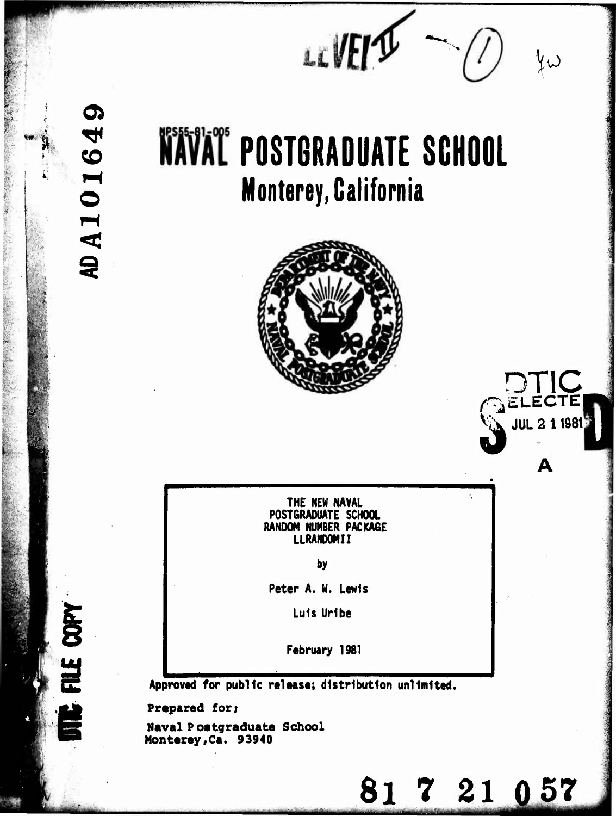$m$   $\mathcal{M}$   $\mathcal{M}$   $\mathcal{M}$ 

### **WAVAL POSTGRADUATE SCHOOL Monterey, California**



**DT1C ^ELECTEf**

**^S\ JUL <sup>2</sup> <sup>11981</sup>** *d*

81 7 21 0 57

**THE NEW NAVAL POSTGRADUATE SCHOOL RANDOM NUMBER PACKAGE LLRANDOMII**

**by**

**Peter A. W. Lewis**

**Luis Urlbe**

**February 1981**

**Approved for public release; distribution unlimited,**

**Prepared for;**

*i*

 $\boldsymbol{\sigma}$ 

AD A 10164

FILE COPY

**Naval Postgraduate School MontereyfCa. 93940**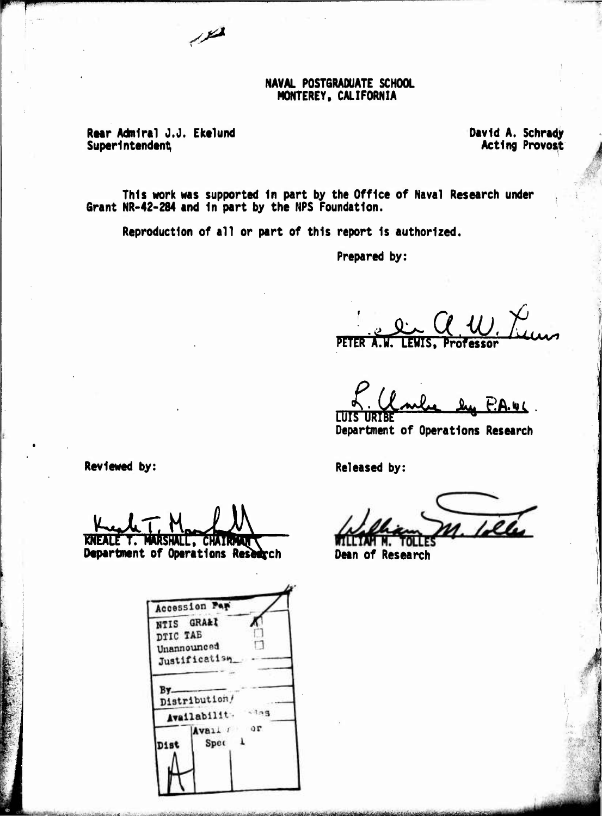### NAVAL POSTGRADUATE SCHOOL MONTEREY, CALIFORNIA

Rear Admiral J.J. Ekelund Superintendent

 $\overline{1}$ 

David A. Schrady<br>Acting Provost

This work was supported in part by the Office of Naval Research under Grant NR-42-284 and in part by the NPS Foundation.

Reproduction of all or part of this report is authorized.

Prepared by:

**PETER** Professor

A.w.c. **TUIS** HETRE

Department of Operations Research

Reviewed by:

KNEALE T. MARSHALL, CHAIRMAN

Department of Operations Research

| Accession Fer<br>NTIS GRA&I |          |        |  |
|-----------------------------|----------|--------|--|
| DTIC TAE                    |          |        |  |
| Unannounced                 |          |        |  |
| Justification               |          |        |  |
|                             |          |        |  |
| B٧                          |          |        |  |
| Distribution/               |          |        |  |
| Availabilit.                |          | $-105$ |  |
|                             | vail for |        |  |
|                             |          |        |  |
|                             | Spec     |        |  |
|                             |          |        |  |
|                             |          |        |  |
|                             |          |        |  |

**Released by:** 

 $1.1$ 

Dean of Research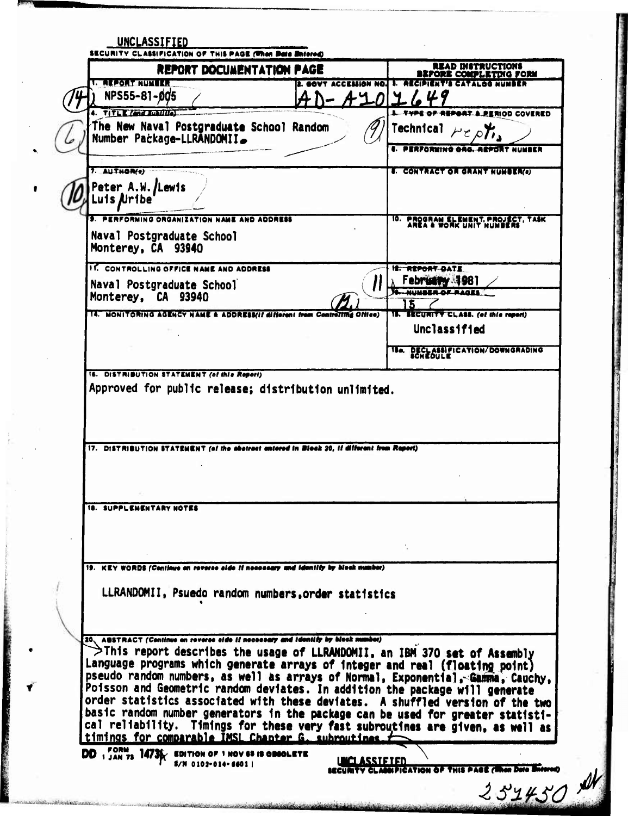|                                                                                                                                                                                                                    | REPORT DOCUMENTATION PAGE                            | <b>READ INSTRUCTIONS</b><br>BEFORE COMPLETING FORM             |
|--------------------------------------------------------------------------------------------------------------------------------------------------------------------------------------------------------------------|------------------------------------------------------|----------------------------------------------------------------|
| LE JEZOR KUTHA                                                                                                                                                                                                     | LAN NO.                                              | n an<br>M V TEXTALEM                                           |
| NPS55-81-005                                                                                                                                                                                                       |                                                      |                                                                |
| 4. TITLE Care main                                                                                                                                                                                                 |                                                      | <b>IPORT A PERIOD COVERED</b>                                  |
| The New Naval Postgraduate School Random<br>Number Package-LLRANDOMII.                                                                                                                                             |                                                      | <b>Technical</b><br>I. FERFORMING GAS. AEPSRT NUMBER           |
|                                                                                                                                                                                                                    |                                                      |                                                                |
| 7. AUTHOR(e)<br>Peter A.W./Lewis<br>uis Nribe                                                                                                                                                                      |                                                      | <b>S. CONTRACT OR GRANT NUMBER(6)</b>                          |
| RFORMING ORGANIZATION NAME AND ADDRESS                                                                                                                                                                             |                                                      | 10. PROGRAM ELEMENT, PROJECT, TASK<br>AREA & WORK UNIT NUMBERS |
| Naval Postgraduate School<br>Monterey, CA 93940                                                                                                                                                                    |                                                      |                                                                |
| 11. CONTROLLING OFFICE NAME AND ADDRESS                                                                                                                                                                            |                                                      | <b>IS. REPORT DATE</b>                                         |
| Naval Postgraduate School                                                                                                                                                                                          |                                                      | ebr <del>uthy</del> als81<br><b>N. MINSES AF BAGES</b>         |
| Monterey, CA 93940                                                                                                                                                                                                 |                                                      |                                                                |
| <b>14. MONITORING AGENCY NAME &amp; ADDRESS(if different from Controlling Office)</b>                                                                                                                              |                                                      | 15. SECURITY CLASS. (of this report)                           |
|                                                                                                                                                                                                                    |                                                      | <b>Unclassified</b>                                            |
|                                                                                                                                                                                                                    |                                                      | <b>18a. DECLASSIFICATION/DOWNGRADING</b>                       |
|                                                                                                                                                                                                                    | Approved for public release; distribution unlimited. |                                                                |
|                                                                                                                                                                                                                    |                                                      |                                                                |
|                                                                                                                                                                                                                    |                                                      |                                                                |
|                                                                                                                                                                                                                    |                                                      |                                                                |
| 17. DISTRIBUTION STATEMENT (of the abstract entered in Block 20, if different from Report)<br><b>18. SUPPLEMENTARY NOTES</b><br>19. KEY WORDS (Continue on reverse side if necessary and identify by block number) | LLRANDOMII, Psuedo random numbers, order statistics  |                                                                |

**AAN**  $\frac{d}{dt}$ 

あいさん かんかん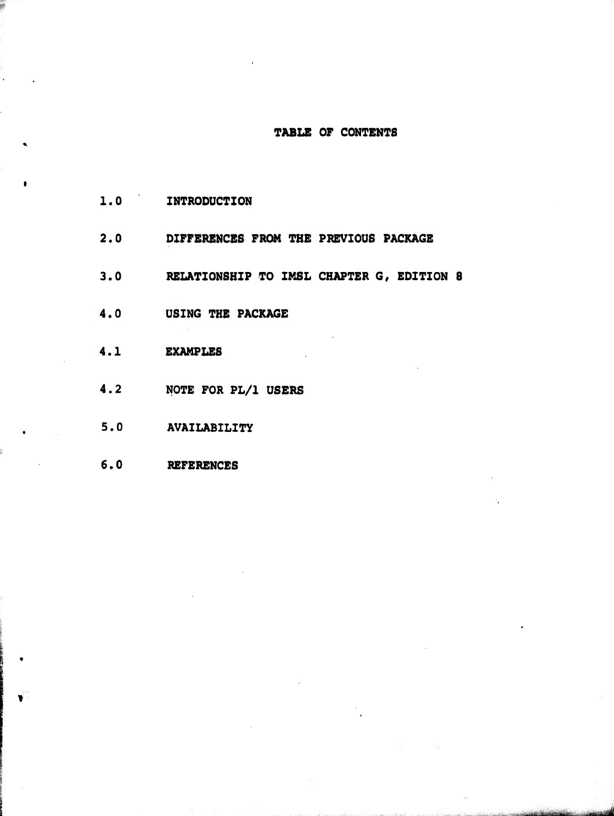### **TABLE OF CONTENTS**

ftiiifiiiiiihiüiiii *"d*

- **1.0 INTRODUCTION**
- **2.0 DIFFERENCES FROM THE PREVIOUS PACKAGE**
- **3.0 RELATIONSHIP TO IMSL CHAPTER G, EDITION 8**
- **4.0 USING THE PACKAGE**
- **4.1 EXAMPLES**
- **4.2 NOTE FOR PL/1 USERS**
- **5.0 AVAILABILITY**
- **6.0 REFERENCES**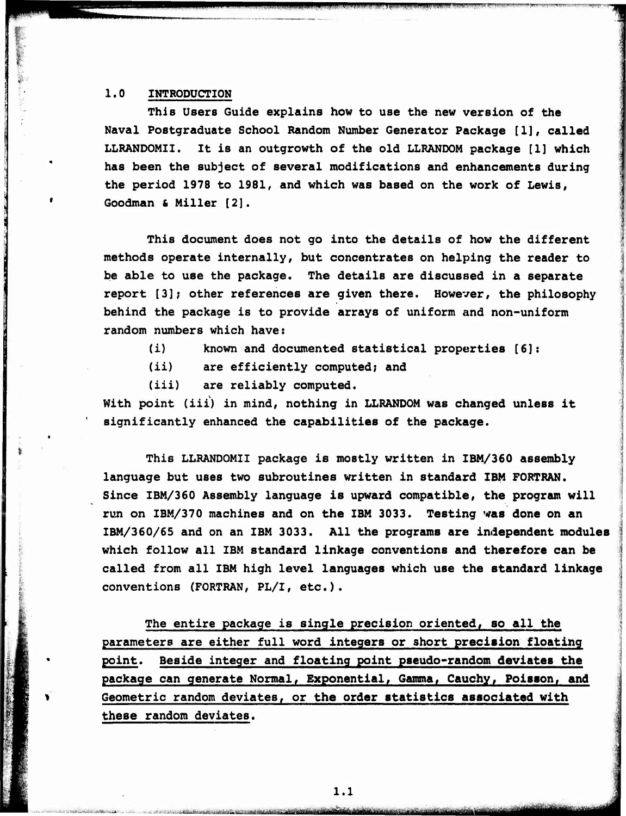### $1.0$ **INTRODUCTION**

This Users Guide explains how to use the new version of the Naval Postgraduate School Random Number Generator Package [1], called It is an outgrowth of the old LLRANDOM package [1] which LLRANDOMII. has been the subject of several modifications and enhancements during the period 1978 to 1981, and which was based on the work of Lewis, Goodman & Miller [2].

This document does not go into the details of how the different methods operate internally, but concentrates on helping the reader to be able to use the package. The details are discussed in a separate report [3]; other references are given there. However, the philosophy behind the package is to provide arrays of uniform and non-uniform random numbers which have:

- $(i)$ known and documented statistical properties [6]:
- $(ii)$ are efficiently computed; and

are reliably computed.  $(iii)$ 

With point (iii) in mind, nothing in LLRANDOM was changed unless it significantly enhanced the capabilities of the package.

This LLRANDOMII package is mostly written in IBM/360 assembly language but uses two subroutines written in standard IBM FORTRAN. Since IBM/360 Assembly language is upward compatible, the program will run on IBM/370 machines and on the IBM 3033. Testing was done on an IBM/360/65 and on an IBM 3033. All the programs are independent modules which follow all IBM standard linkage conventions and therefore can be called from all IBM high level languages which use the standard linkage conventions (FORTRAN, PL/I, etc.).

The entire package is single precision oriented, so all the parameters are either full word integers or short precision floating point. Beside integer and floating point pseudo-random deviates the package can generate Normal, Exponential, Gamma, Cauchy, Poisson, and Geometric random deviates, or the order statistics associated with these random deviates.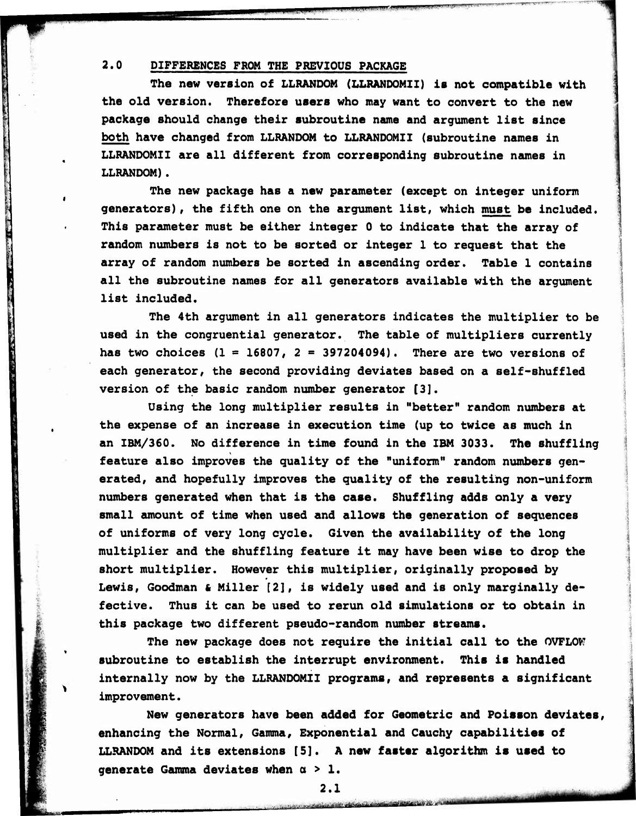### **2.0 DIFFERENCES FROM THE PREVIOUS PACKAGE**

The College of

**The new version of LLRANDOM (LLRANDOMII) is not compatible with the old version. Therefore users who may want to convert to the new package should change their subroutine name and argument list since both have changed from LLRANDOM to LLRANDOMII (subroutine names In LLRANDOMII are all different from corresponding subroutine names In LLRANDOM).**

*fmax leading and the large distance in the large* 

 $\mathbb{R}^{\mathsf{N}}$  and  $\mathbb{R}^{\mathsf{N}}$ y

al<br>**1980 - Paul Bernard, Paul Bernard, Paul Bernard, Paul Bernard, Paul Bernard, Paul Bernard, Paul Bernard, Paul<br>1980 - Paul Bernard, Paul Bernard, Paul Bernard, Paul Bernard, Paul Bernard, Paul Bernard, Paul Bernard, Pau** 

**The new package has a new parameter (except on Integer uniform generators), the fifth one on the argument list, which must be Included. This parameter must be either Integer 0 to Indicate that the array of random numbers Is not to be sorted or Integer 1 to request that the array of random numbers be sorted In ascending order. Table 1 contains all the subroutine names for all generators available with the argument list Included.**

**The 4th argument In all generators indicates the multiplier to be used in the congruential generator. The table of multipliers currently has two choices (1 = 16807, 2 « 397204094). There are two versions of each generator, the second providing deviates based on a self-shuffled version of the basic random number generator [3].**

**Using the long multiplier results in "better" random numbers at the expense of an increase in execution time (up to twice as much in an IBM/360. No difference in time found in the IBM 3033. The shuffling feature also improves the quality of the "uniform" random numbers generated, and hopefully improves the quality of the resulting non-uniform numbers generated when that is the case. Shuffling adds only a very small amount of time when used and allows the generation of sequences of uniforms of very long cycle. Given the availability of the long multiplier and the shuffling feature it may have been wise to drop the short multiplier. However this multiplier, originally proposed by Lewis, Goodman & Miller [2], is widely used and is only marginally defective. Thus it can be used to rerun old simulations or to obtain in this package two different pseudo-random number streams.**

**The new package does not require the initial call to the OVFLOW subroutine to establish the Interrupt environment. This is handled Internally now by the LLRANDOMII programs, and represents a significant Improvement.**

**New generators have been added for Geometric and Poisson deviates, enhancing the Normal, Gamma, Exponential and Cauchy capabilities of LLRANDOM and its extensions [5]. A new faster algorithm is used to generate Gamma deviates when a > 1.**

<u>iniliikidele oli väetestava symmertää päätertallija yl</u>

**2.1**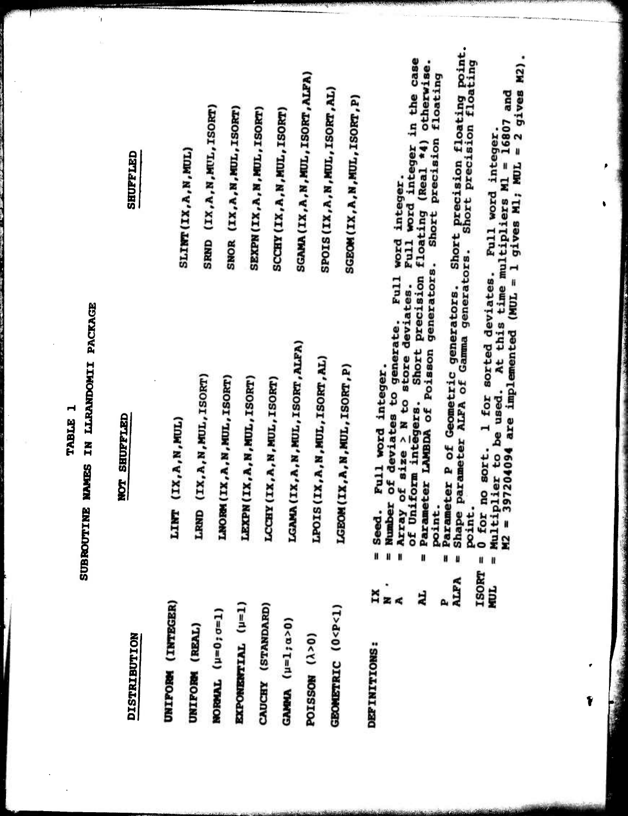### TABLE 1

# SUBROUTINE NAMES IN LLRANDOMII PACKAGE

# NOT SHUFFLED

DISTRIBUTION

## SHUFFLED

٠,

| UNIFORM (INTEGER)                                                                                                                                       | LINT (IX, A, N, MUL)                                                                                                                                                                                                                                                                                                 |                                                                     |
|---------------------------------------------------------------------------------------------------------------------------------------------------------|----------------------------------------------------------------------------------------------------------------------------------------------------------------------------------------------------------------------------------------------------------------------------------------------------------------------|---------------------------------------------------------------------|
| UNIFORM (REAL)                                                                                                                                          | LRMD (IX, A, N, MUL, ISORT)                                                                                                                                                                                                                                                                                          | SLINT (IX, A, N, MUL)                                               |
| $MOPWAL$ ( $\mu=0$ ; $\sigma=1$ )                                                                                                                       | LNORM (IX, A, N, MUL, ISORT)                                                                                                                                                                                                                                                                                         | SRND (IX, A, N, MUL, ISORT)                                         |
| EXPONENTIAL (µ=1)                                                                                                                                       | LEXPN (IX, A, N, MUL, ISORT)                                                                                                                                                                                                                                                                                         | SNOR (IX, A, N, MUL, ISORT)                                         |
| CAUCHY (STANDARD)                                                                                                                                       | LCCHY (IX, A, N, MUL, ISORT)                                                                                                                                                                                                                                                                                         | SEXPN (IX, A, N, MUL, ISORT)                                        |
| GAMMA $(\mu=1; \alpha>0)$                                                                                                                               | LGAMA (IX, A, N, MUL, ISORT, ALFA)                                                                                                                                                                                                                                                                                   | SCCHY (IX, A, N, MUL, ISORT)                                        |
| borssow (y>0)                                                                                                                                           | LPOIS (IX, A, N, MUL, ISORT, AL)                                                                                                                                                                                                                                                                                     | SGAMA (IX, A, N, MUL, ISORT, ALFA                                   |
| GEOMETRIC (0 <p<1)< td=""><td>LGEOM (IX, A, N, MUL, ISORT, P)</td><td>SPOIS (IX, A, N, MUL, ISORT, AL)<br/>SGEOM (IX, A, N, MUL, ISORT, P)</td></p<1)<> | LGEOM (IX, A, N, MUL, ISORT, P)                                                                                                                                                                                                                                                                                      | SPOIS (IX, A, N, MUL, ISORT, AL)<br>SGEOM (IX, A, N, MUL, ISORT, P) |
| $\ddot{a}$<br>DEFINITIONS:                                                                                                                              |                                                                                                                                                                                                                                                                                                                      |                                                                     |
|                                                                                                                                                         |                                                                                                                                                                                                                                                                                                                      |                                                                     |
| 4L                                                                                                                                                      | = Seed. Full word integer.<br>= Number of deviates to generate. Full word integer.<br>= Array of size > N to store deviates. Full word integer in the ca<br>of Uniform integers. Short precision floating (Real *4) otherwis<br>= Paramete<br>cameter LAMBDA of Poisson generators. Short precision floating<br>.nt. |                                                                     |

= Parameter P of Geometric generators. Shor<br>= Shape parameter ALFA of Gamma generators. P<br>ALPA

Short precision floating point.<br>
ors. Short precision floating point. **ISORT** 

= 0 for no sort. 1 for sorted deviates. Pull word integer.<br>= Multiplier to be used. At this time multipliers M1 = 16807 and<br>M2 = 397204094 are implemented (MUL = 1 gives M1; MUL = 2 gives M2). NUL

Ý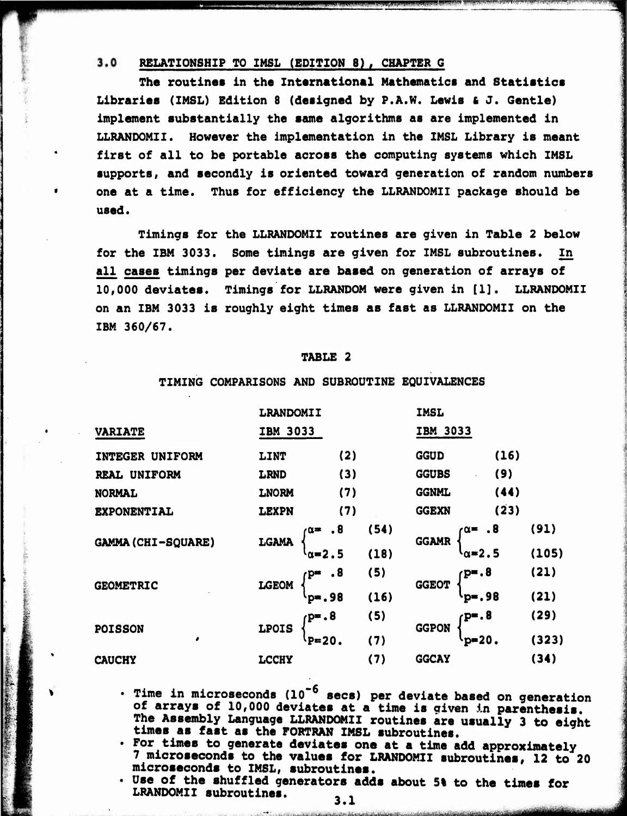$3.0$ **REIATIONSHIP TO IMSL (EDITION 8) , CHAPTER G**

**The routines In the International Mathematics and Statistics Libraries (IMSL) Edition <sup>8</sup> (designed by P.A.W. Lewis & J. Gentle) implement substantially the same algorithms as are implemented in LLRANDOMII. However the implementation in the IMSL Library is meant first of all to be portable across the computing systems which IMSL supports, and secondly is oriented toward generation of random numbers one at a time. Thus for efficiency the LLRANDOMII package should be used.**

iii) Cinii isii illiii illii aasta maalista mähemeet kuni mähemeet valta maalista mähemeet siin provintat mähe

*,r^*

*""'vrrrr" m*

**Timings for the LLRANDOMII routines are given in Table 2 below for the IBM 3033. Some timings are given for IMSL subroutines. In all cases timings per deviate are based on generation of arrays of 10,000 deviates. Timings for LLRANDOM were given in [1]. LLRANDOMII on an IBM 3033 is roughly eight times as fast as LLRANDOMII on the IBM 360/67.**

### **TABLE 2**

### **VARIATE INTEGER UNIFORM REAL UNIFORM NORMAL EXPONENTIAL GAMMA(CHI-SQUARE) GEOMETRIC POISSON CAUCHY LRANDOMII IMSL IBM 3033 IBM 3033 LINT (2) GGUD (16) LRND (3) GGUBS (9) LNORM (7) GGNML (44) LEXPN (7) GGEXN (S3) LGAMA a» .8 ^o-2.5 (54) (18) GGAMR a» .8 ^o-2.5 (91) (105) LGEOM fP" »8 ^-.98 (5) (16) GGEOT p«.8 4)-. 98 (21) (21) LPOIS p».8 ^P«20. (5) (7) GGPON /•P-.8** *\** **^P"20. (29) (323) LCCHY (7) GGCAY (34)**

**i**

**TIMING COMPARISONS AND SUBROUTINE EQUIVALENCES**

- **Time in microseconds (10"<sup>6</sup> sees) per deviate based on generation of arrays of 10,000 deviates at a time is qiven in parenthesis. The Assembly Language LLRANDOMII routines are usually 3 to eight times as fast as the FORTRAN IMSL subroutines.**
- **For times to generate deviates one at a time add approximately 7 microseconds to the values for LRANDOMII subroutines, 12 to 20 microseconds to IMSL, subroutines.**
- **Use of the shuffled generators adds about 5% to the times for LRANDOMII subroutines. , .**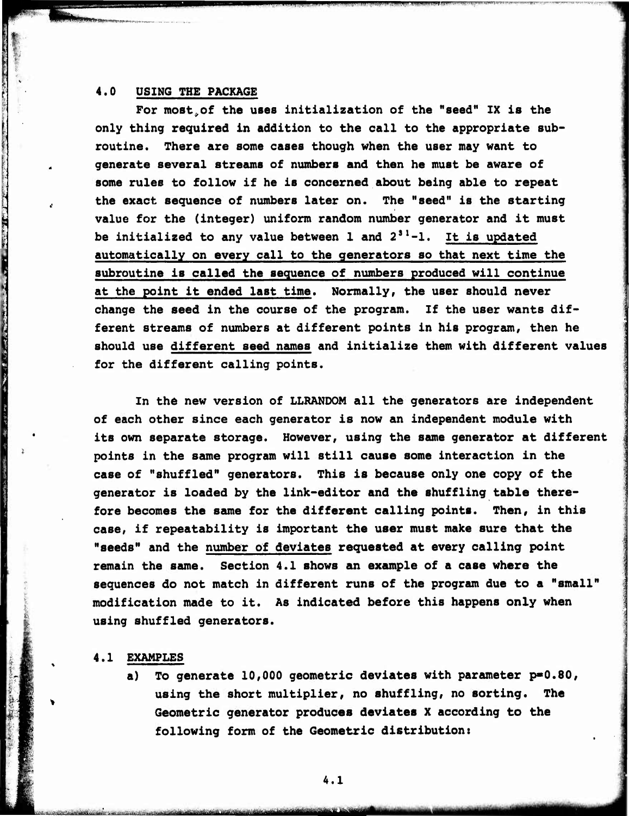### **4.0 USING THE PACKAGE**

William William Helse Mess Antillian beautioner

**!** *m*

> **For most^of the uses Initialization of the "seed" IX is the only thing required in addition to the call to the appropriate subroutine. There are some cases though when the user may want to generate several streams of numbers and then he must be aware of some rules to follow if he is concerned about being able to repeat the exact sequence of numbers later on. The "seed" is the starting value for the (integer) uniform random number generator and it must be Initialized to any value between 1 and 2 s '-I. It is updated automatically on every call to the generators so that next time the subroutine is called the sequence of numbers produced will continue at the point it ended last time. Normally, the user should never change the seed in the course of the program. If the user wants different streams of numbers at different points in his program, then he should use different seed names and Initialize them with different values for the different calling points.**

**WWILD BE WELFFULL AND THE SECOND AND SECOND AND SECONDED AND SECONDED FOR ANY ORDER ON A SECONDED FOR A SECONDED AND SECONDED FOR A SECONDED FOR A SECONDED FOR A SECONDED FOR A SECONDED FOR A SECONDED FOR A SECONDED FOR A** 

**In the new version of LLRANDOM all the generators are independent of each other since each generator is now an independent module with its own separate storage. However, using the same generator at different points in the same program will still cause some interaction in the case of "shuffled" generators. This is because only one copy of the generator is loaded by the link-editor and the shuffling table therefore becomes the same for the different calling points. Then, in this case, if repeatability Is important the user must make sure that the "seeds" and the number of deviates requested at every calling point remain the same. Section 4.1 shows an example of a case where the sequences do not match in different runs of the program due to a "small" modification made to it. As Indicated before this happens only when using shuffled generators.**

### **4.1 EXAMPLES**

**a) To generate 10,000 geometric deviates with parameter p>0.80, using the short multiplier, no shuffling, no sorting. The Geometric generator produces deviates <sup>X</sup> according to the following form of the Geometric distribution:**

**<sup>I</sup> <sup>I</sup> i** *-- '-——*■■*^- - ~^^i\*i\*\*i\*\*\*i^^*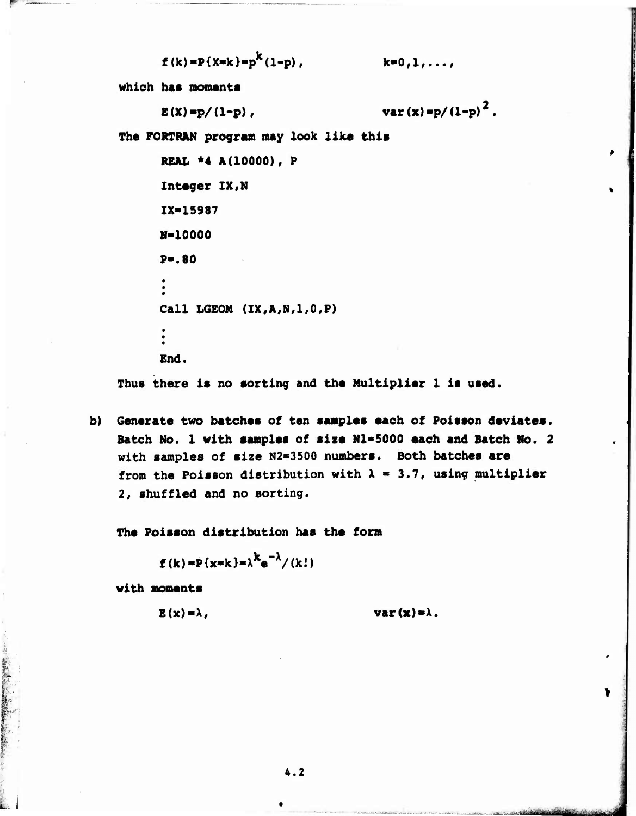$$
f(k) = P(X=k) = p^{k}(1-p)
$$
,

 $k = 0, 1, \ldots$ 

which has moments

 $E(X) = p/(1-p)$ ,

var(x)=p/(1-p)<sup>2</sup>.

The FORTRAN program may look like this

```
REAL *4 A(10000), P
Integer IX, N
IX=15987
N-10000
P = .80Call LGEOM (IX, A, N, 1, 0, P)
End.
```
Thus there is no sorting and the Multiplier 1 is used.

b) Generate two batches of ten samples each of Poisson deviates. Batch No. 1 with samples of size N1=5000 each and Batch No. 2 with samples of size N2=3500 numbers. Both batches are from the Poisson distribution with  $\lambda = 3.7$ , using multiplier 2, shuffled and no sorting.

The Poisson distribution has the form

$$
f(k) = P\{x=k\} = \lambda^{K}e^{-\lambda}/(k!)
$$

with moments

 $E(x) = \lambda$ ,

 $\mathbf{var}(\mathbf{x}) = \lambda$ .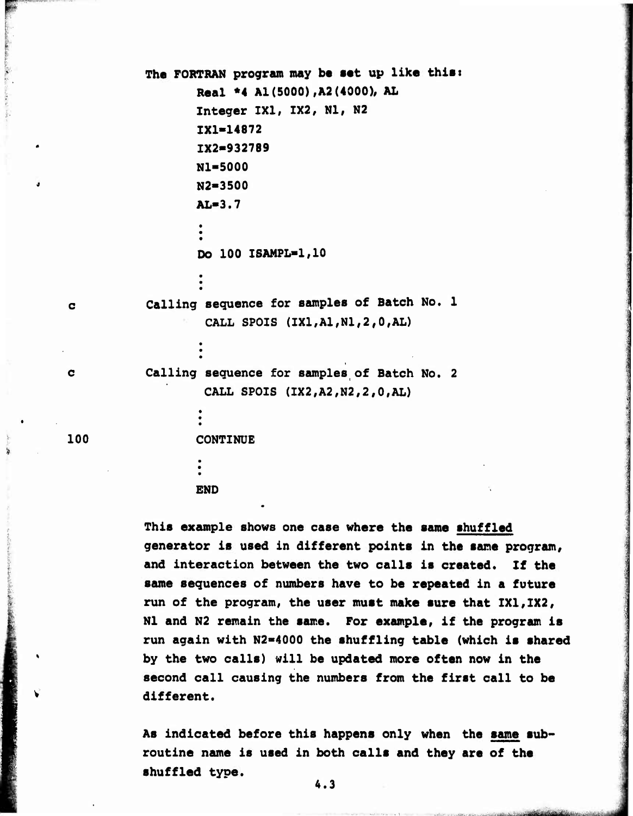```
The FORTRAN program may be aat up like thiai
                  Real *4 Al (5000) ,A2 (4000), AL
                 I. Integer 1X1, 1X2, Nl, N2
                 1X1-14872
                 IX2-9327B9
                 Nl-5000
                 N2-3500
                 AL-3.7
                  •
                  Do 100 ISANPL-1,10
          Calling sequence for samples of Batch No. 1
                   CALL SPOIS (IX1,A1,N1,2,0,AL)
          Calling sequence for samples of Batch No. 2
                   CALL SPOIS (IX2,A2,N2,2,0,AL)
100 CONTINUE
                 END
```
**i**

 $\mathbf{C}$ 

 $\mathbf C$ 

**This example shows one case where the same shuffled generator is used in different points in the sane program, and interaction between the two calls is created. If the same sequences of numbers have to be repeated in a future run of the program, the user must make sure that 1X1,1X2, Nl and N2 remain the same. For example, if the program is run again with N2>4000 the shuffling table (which is shared by the two calls) will be updated more often now in the second call causing the numbers from the first call to be different.**

**As indicated before this happens only when the same subroutine name is used in both calls and they are of the shuffled type.**

..,.."..-, -^.".. ". <sup>i</sup> , " - . *t^mmüt^^UStlm*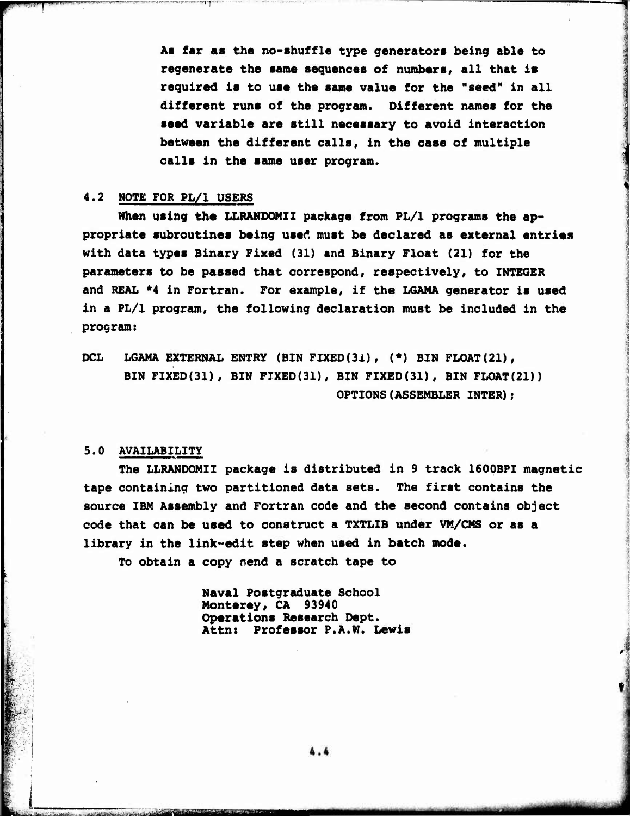**As far as the no-shuffle type generators being able to regenerate the same sequences of numbers, all that is required is to use the same value for the "seed" in all different runs of the program. Different names for the seed variable are still necessary to avoid interaction between the different calls, in the case of multiple calls in the same user program.**

### **4.2 NOTE FOR PL/1 USERS**

**When using the LLRANOOMII package from PL/1 programs the appropriate subroutines being used must be declared as external entries with data types Binary Fixed (31) and Binary Float (21) for the parameters to be passed that correspond, respectively, to INTEGER and REAL \*4 in Fortran. For example, if the LGAMA generator is used in a PL/1 program, the following declaration must be included in the program:**

**DCL LGAMA EXTERNAL ENTRY (BIN FIXED(31), (\*) BIN FLOAT(21), BIN FIXED(31), BIN FIXED(31), BIN FIX£D(31), BIN FLOAT(21)) OPTIONS(ASSEMBLER INTER);**

### **5.0 AVAILABILITY**

. iBlashifa iblifati ili radio ta kari di radio ta shekara ili radio ta shekara shekara ta shekara ta shekara

**The LLRANDOMII package is distributed in <sup>9</sup> track 1600BPI magnetic tape containing two partitioned data sets. The first contains the source IBM Assembly and Fortran code and the second contains object code that can be used to construct a TXTLIB under VM/CMS or as a library in the link-edit step when used in batch mode.**

**To obtain a copy nend a scratch tape to**

**Naval Postgraduate School Monterey, CA 93940 Operations Research Dept. Attnt Professor P.A.W. Lewis**

 $4.4$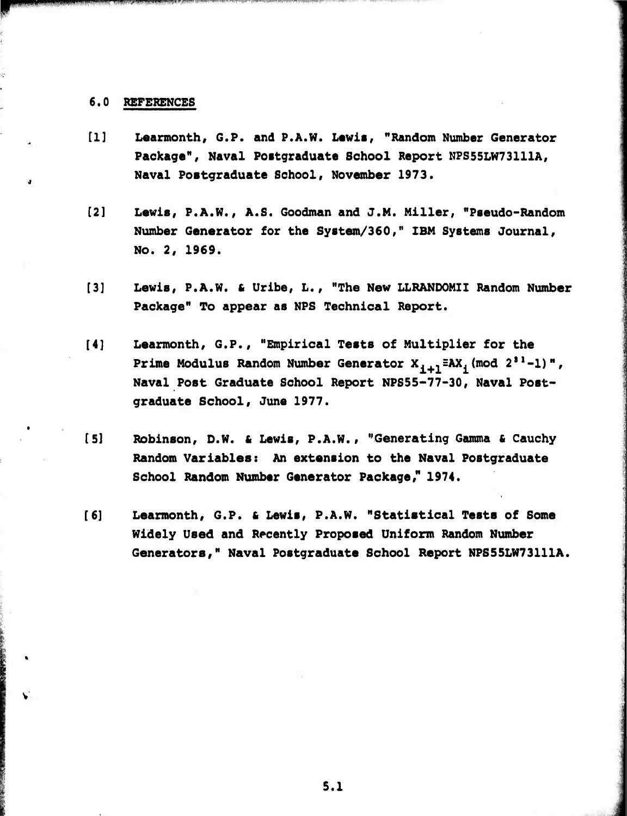### **6.0 REFEREWCES**

**pwwwffWWIIlf IWIIMIJ» III"!(!llllHill|P.H.'l. I.I I! II Jl .fV^Wf'^\*^W ^ ^'<sup>l</sup>**

**'^'^"':TT^ T**

 $\mathcal{P}^{\mathcal{M}}$  and  $\mathcal{P}^{\mathcal{M}}$  and  $\mathcal{P}^{\mathcal{M}}$  and  $\mathcal{P}^{\mathcal{M}}$  and  $\mathcal{P}^{\mathcal{M}}$  and  $\mathcal{P}^{\mathcal{M}}$  and  $\mathcal{P}^{\mathcal{M}}$ 

- **[1] Learmonth, G.P. and P.A.W. Lawis, "Random Number Generator Package<sup>1</sup> \*, Naval Postgraduate School Report NPS55LW73111A, Naval Postgraduate School, November 1973.**
- **[2] Lewis, P.A.W., A.S. Goodman and J.M. Miller, "Pseudo-Random Number Generator for the System/360," IBM Systems Journal, No. 2, 1969.**
- **[3] Lewis, P.A.W. & Urlbe, L., "The New LLRANDOMII Random Number Package" To appear as NPS Technical Report.**
- **[4] Learmonth, G.P., "Empirical Tests of Multiplier for the Prime Modulus Random Number Generator X.+1=AX. (mod <sup>2</sup> ,1 -1)", Naval Post Graduate School Report NPS55-77-30, Naval Postgraduate School, June 1977.**
- **[5] Robinson, D.W. 6 Lewis, P.A.W., "Generating Gamma 6 Cauchy Random Variables: An extension to the Naval Postgraduate School Random Number Generator Package," 1974.**
- **[6] Learmonth, G.P. & Lewis, P.A.W. "Statistical Tests of Some Widely Used and Recently Proposed Uniform Random Number Generators," Naval Postgraduate School Report NPS55LW73111A.**

**..**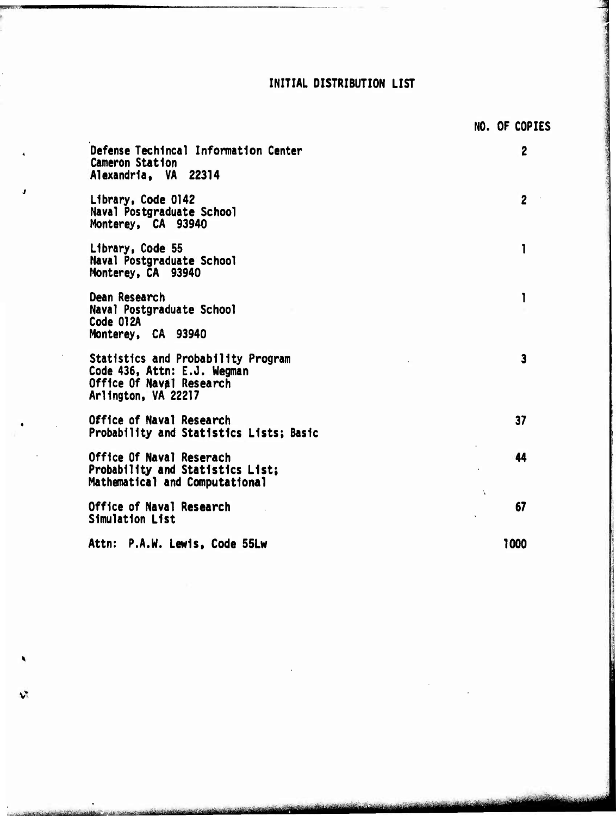### INITIAL DISTRIBUTION LIST

|                                                                                                                      | NO. OF COPIES              |
|----------------------------------------------------------------------------------------------------------------------|----------------------------|
| Defense Techincal Information Center<br><b>Cameron Station</b><br>Alexandria. VA 22314                               | $\overline{c}$             |
| Library, Code 0142<br>Naval Postgraduate School<br>Monterey, CA 93940                                                | $\overline{2}$             |
| Library, Code 55<br>Naval Postgraduate School<br>Monterey, CA 93940                                                  |                            |
| Dean Research<br>Naval Postgraduate School<br>Code 012A<br>Monterey, CA 93940                                        | 1                          |
| Statistics and Probability Program<br>Code 436, Attn: E.J. Wegman<br>Office Of Naval Research<br>Arlington, VA 22217 | $\overline{\mathbf{3}}$    |
| Office of Naval Research<br>Probability and Statistics Lists; Basic                                                  | 37                         |
| Office Of Naval Reserach<br>Probability and Statistics List;<br>Mathematical and Computational                       | 44<br>$\ddot{\phantom{a}}$ |
| Office of Naval Research<br>Simulation List                                                                          | 67                         |
| P.A.W. Lewis, Code 55Lw<br>Attn:                                                                                     | 1000                       |

 $\mathbf{v}^*$ 

cultural de deux 7 201 institu

Varietining Science